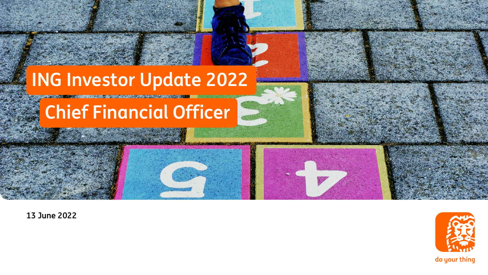

**13 June 2022**



do your thing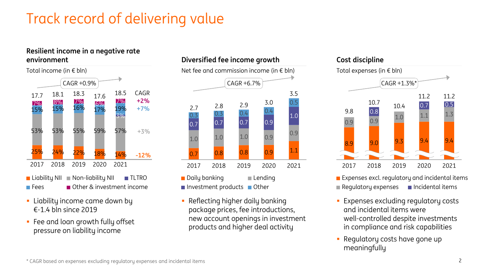# Track record of delivering value

#### **Resilient income in a negative rate environment**





- Liability NII Non-liability NII Other & investment income Fees ■ TLTRO
- **Example 1** Liability income came down by €-1.4 bln since 2019
- Fee and loan growth fully offset pressure on liability income

### **Diversified fee income growth** Net fee and commission income (in  $\epsilon$  bln)



- Investment products **Other**
- **Reflecting higher daily banking** package prices, fee introductions, new account openings in investment products and higher deal activity

### **Cost discipline** Total expenses (in  $€$  bln)



- **Expenses excl. regulatory and incidental items**  $\blacksquare$  Requlatory expenses  $\blacksquare$  Incidental items
- Expenses excluding regulatory costs and incidental items were well-controlled despite investments in compliance and risk capabilities
- Regulatory costs have gone up meaningfully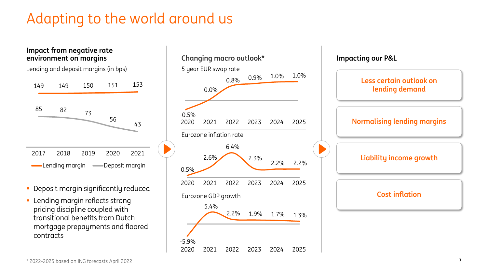# Adapting to the world around us

**Impact from negative rate environment on margins**

Lending and deposit margins (in bps)



- **Deposit margin significantly reduced**
- **EXECT:** Lending margin reflects strong pricing discipline coupled with transitional benefits from Dutch mortgage prepayments and floored contracts



**Impacting our P&L Liability income growth Less certain outlook on lending demand Normalising lending margins Cost inflation**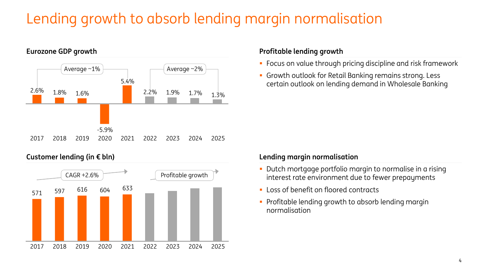# Lending growth to absorb lending margin normalisation



#### **Eurozone GDP growth**

#### **Customer lending (in € bln)**



#### **Profitable lending growth**

- **Focus on value through pricing discipline and risk framework**
- **Growth outlook for Retail Banking remains strong. Less** certain outlook on lending demand in Wholesale Banking

#### **Lending margin normalisation**

- Dutch mortgage portfolio margin to normalise in a rising interest rate environment due to fewer prepayments
- Loss of benefit on floored contracts
- Profitable lending growth to absorb lending margin normalisation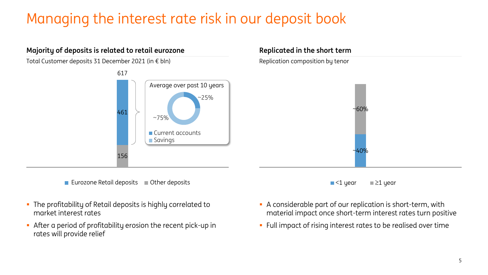# Managing the interest rate risk in our deposit book

### **Majority of deposits is related to retail eurozone**

Total Customer deposits 31 December 2021 (in € bln)



Eurozone Retail deposits  $\Box$  Other deposits

- **.** The profitability of Retail deposits is highly correlated to market interest rates
- After a period of profitability erosion the recent pick-up in rates will provide relief

### **Replicated in the short term**

Replication composition by tenor





- A considerable part of our replication is short-term, with material impact once short-term interest rates turn positive
- Full impact of rising interest rates to be realised over time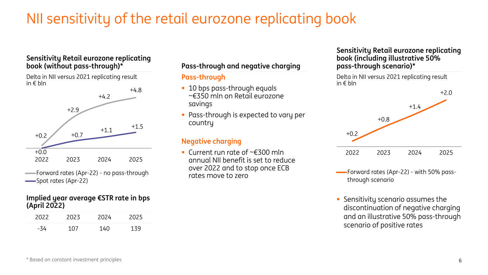# NII sensitivity of the retail eurozone replicating book

#### **Sensitivity Retail eurozone replicating book (without pass-through)\***

Delta in NII versus 2021 replicating result in € bln



#### **Implied year average €STR rate in bps (April 2022)**

| 2022 | 2023 | 2024 | 2025 |
|------|------|------|------|
| -34  | 107  | 140  | 139  |

#### **Pass-through and negative charging**

#### **Pass-through**

- **.** 10 bps pass-through equals ~€350 mln on Retail eurozone savings
- Pass-through is expected to vary per country

### **Negative charging**

■ Current run rate of ~€300 mln annual NII benefit is set to reduce over 2022 and to stop once ECB rates move to zero

#### **Sensitivity Retail eurozone replicating book (including illustrative 50% pass-through scenario)\***

Delta in NII versus 2021 replicating result in € bln



- Forward rates (Apr-22) with 50% passthrough scenario
- Sensitivity scenario assumes the discontinuation of negative charging and an illustrative 50% pass-through scenario of positive rates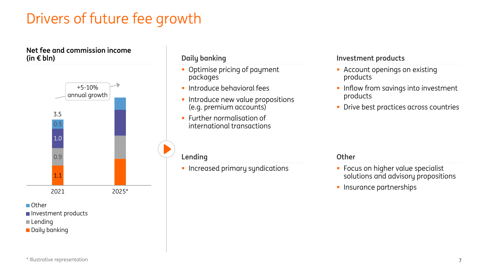# Drivers of future fee growth

#### **Net fee and commission income (in € bln) Daily banking**



**Daily banking** 

- **Optimise pricing of payment** packages
- **·** Introduce behavioral fees
- **·** Introduce new value propositions (e.g. premium accounts)
- **EXECT** Further normalisation of international transactions

#### **Investment products**

- **EXECOUNT OPENINGS ON EXISTING** products
- **.** Inflow from savings into investment products
- **Drive best practices across countries**

#### **Lending**

**·** Increased primary syndications

#### **Other**

- **Focus on higher value specialist** solutions and advisory propositions
- **·** Insurance partnerships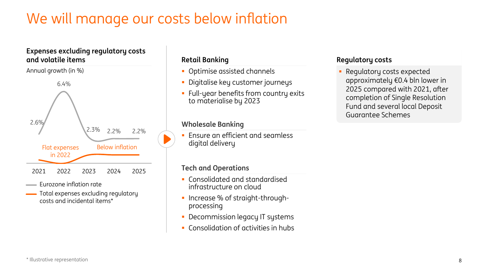# We will manage our costs below inflation

#### **Expenses excluding regulatory costs and volatile items**



- **Eurozone inflation rate**
- Total expenses excluding regulatory costs and incidental items\*

#### **Retail Banking**

- **Optimise assisted channels**
- Digitalise key customer journeys
- **EXEL** Full-year benefits from country exits to materialise by 2023

#### **Wholesale Banking**

Ensure an efficient and seamless

#### **Tech and Operations**

- Consolidated and standardised infrastructure on cloud
- Increase % of straight-throughprocessing
- **Decommission legacy IT systems**
- Consolidation of activities in hubs

#### **Regulatory costs**

Regulatory costs expected approximately €0.4 bln lower in 2025 compared with 2021, after completion of Single Resolution Fund and several local Deposit Guarantee Schemes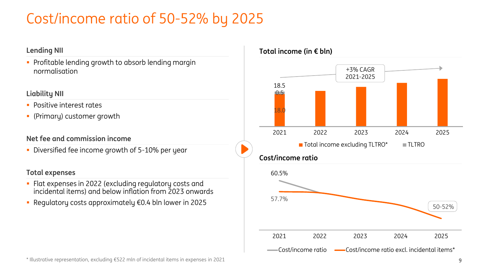# Cost/income ratio of 50-52% by 2025

### **Lending NII**

**• Profitable lending growth to absorb lending margin** normalisation

### **Liability NII**

- Positive interest rates
- (Primary) customer growth

### **Net fee and commission income**

**•** Diversified fee income growth of 5-10% per year

### **Total expenses**

- Flat expenses in 2022 (excluding regulatory costs and incidental items) and below inflation from 2023 onwards
- Regulatory costs approximately €0.4 bln lower in 2025



\* Illustrative representation, excluding €522 mln of incidental items in expenses in 2021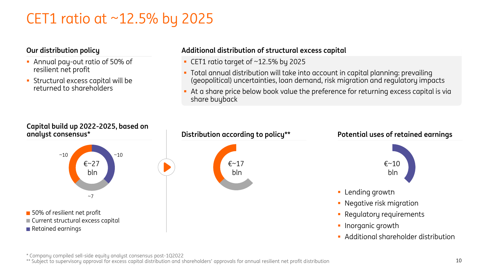## CET1 ratio at ~12.5% by 2025

#### **Our distribution policy**

- Annual pay-out ratio of 50% of resilient net profit
- **EXTENDING EXCESS CAPTER** FIGURE returned to shareholders

#### **Additional distribution of structural excess capital**

- **CET1 ratio target of**  $\sim$ **12.5% by 2025**
- Total annual distribution will take into account in capital planning: prevailing (geopolitical) uncertainties, loan demand, risk migration and regulatory impacts
- **EXTER 1** At a share price below book value the preference for returning excess capital is via share buyback



\* Company compiled sell-side equity analyst consensus post-1Q2022

\*\* Subject to supervisory approval for excess capital distribution and shareholders' approvals for annual resilient net profit distribution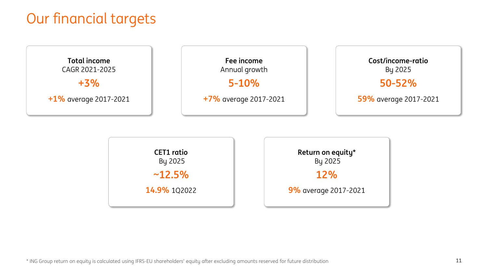### Our financial targets